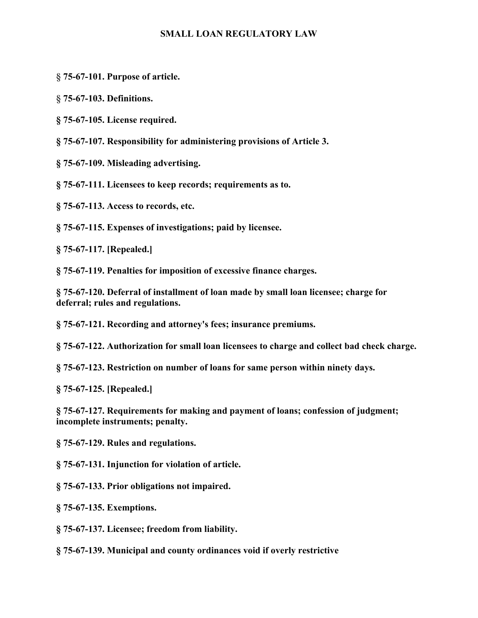#### **SMALL LOAN REGULATORY LAW**

- **§ 75-67-101. Purpose of article.**
- **§ 75-67-103. Definitions.**
- **§ 75-67-105. License required.**
- **§ 75-67-107. Responsibility for administering provisions of Article 3.**
- **§ 75-67-109. Misleading advertising.**
- **§ 75-67-111. Licensees to keep records; requirements as to.**
- **§ 75-67-113. Access to records, etc.**
- **§ 75-67-115. Expenses of investigations; paid by licensee.**
- **§ 75-67-117. [Repealed.]**
- **§ 75-67-119. Penalties for imposition of excessive finance charges.**
- **§ 75-67-120. Deferral of installment of loan made by small loan licensee; charge for deferral; rules and regulations.**
- **§ 75-67-121. Recording and attorney's fees; insurance premiums.**
- **§ 75-67-122. Authorization for small loan licensees to charge and collect bad check charge.**
- **§ 75-67-123. Restriction on number of loans for same person within ninety days.**
- **§ 75-67-125. [Repealed.]**
- **§ 75-67-127. Requirements for making and payment of loans; confession of judgment; incomplete instruments; penalty.**
- **§ 75-67-129. Rules and regulations.**
- **§ 75-67-131. Injunction for violation of article.**
- **§ 75-67-133. Prior obligations not impaired.**
- **§ 75-67-135. Exemptions.**
- **§ 75-67-137. Licensee; freedom from liability.**
- **§ 75-67-139. Municipal and county ordinances void if overly restrictive**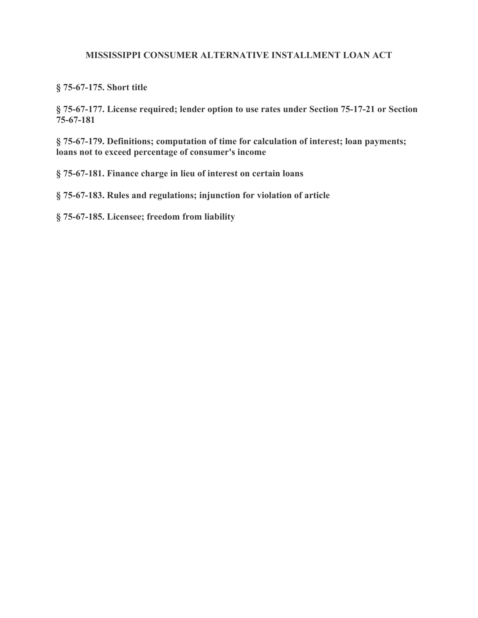### **MISSISSIPPI CONSUMER ALTERNATIVE INSTALLMENT LOAN ACT**

**§ 75-67-175. Short title**

**§ 75-67-177. License required; lender option to use rates under Section 75-17-21 or Section 75-67-181** 

**§ 75-67-179. Definitions; computation of time for calculation of interest; loan payments; loans not to exceed percentage of consumer's income** 

**§ 75-67-181. Finance charge in lieu of interest on certain loans**

**§ 75-67-183. Rules and regulations; injunction for violation of article** 

**§ 75-67-185. Licensee; freedom from liability**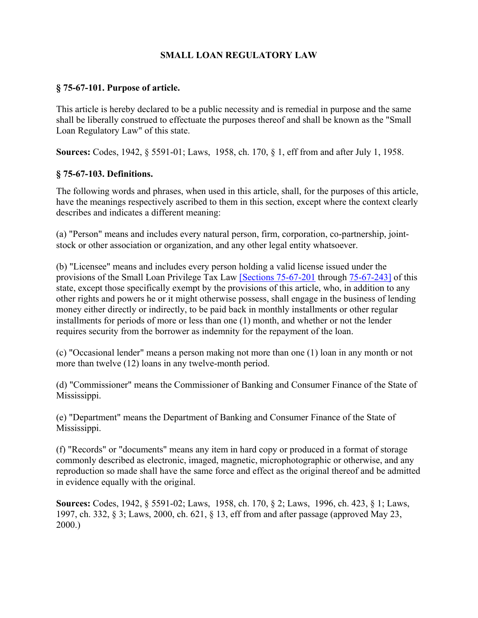### **SMALL LOAN REGULATORY LAW**

### **§ 75-67-101. Purpose of article.**

This article is hereby declared to be a public necessity and is remedial in purpose and the same shall be liberally construed to effectuate the purposes thereof and shall be known as the "Small Loan Regulatory Law" of this state.

**Sources:** Codes, 1942, § 5591-01; Laws, 1958, ch. 170, § 1, eff from and after July 1, 1958.

### **§ 75-67-103. Definitions.**

The following words and phrases, when used in this article, shall, for the purposes of this article, have the meanings respectively ascribed to them in this section, except where the context clearly describes and indicates a different meaning:

(a) "Person" means and includes every natural person, firm, corporation, co-partnership, jointstock or other association or organization, and any other legal entity whatsoever.

(b) "Licensee" means and includes every person holding a valid license issued under the provisions of the Small Loan Privilege Tax Law [Sections 75-67-201 through 75-67-243] of this state, except those specifically exempt by the provisions of this article, who, in addition to any other rights and powers he or it might otherwise possess, shall engage in the business of lending money either directly or indirectly, to be paid back in monthly installments or other regular installments for periods of more or less than one (1) month, and whether or not the lender requires security from the borrower as indemnity for the repayment of the loan.

(c) "Occasional lender" means a person making not more than one (1) loan in any month or not more than twelve (12) loans in any twelve-month period.

(d) "Commissioner" means the Commissioner of Banking and Consumer Finance of the State of Mississippi.

(e) "Department" means the Department of Banking and Consumer Finance of the State of Mississippi.

(f) "Records" or "documents" means any item in hard copy or produced in a format of storage commonly described as electronic, imaged, magnetic, microphotographic or otherwise, and any reproduction so made shall have the same force and effect as the original thereof and be admitted in evidence equally with the original.

**Sources:** Codes, 1942, § 5591-02; Laws, 1958, ch. 170, § 2; Laws, 1996, ch. 423, § 1; Laws, 1997, ch. 332, § 3; Laws, 2000, ch. 621, § 13, eff from and after passage (approved May 23, 2000.)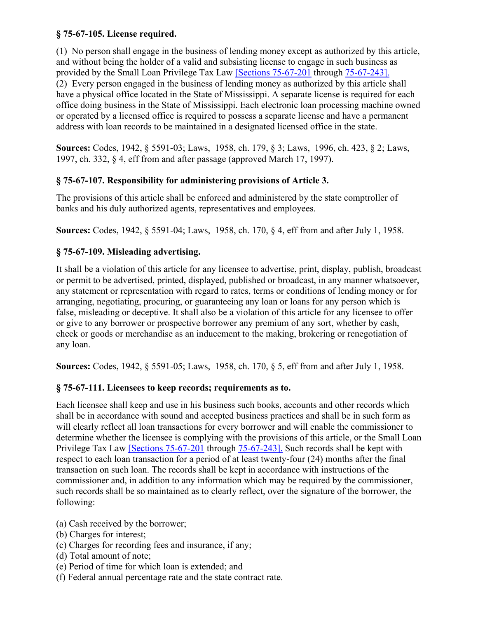## **§ 75-67-105. License required.**

(1) No person shall engage in the business of lending money except as authorized by this article, and without being the holder of a valid and subsisting license to engage in such business as provided by the Small Loan Privilege Tax Law [Sections 75-67-201 through 75-67-243]. (2) Every person engaged in the business of lending money as authorized by this article shall have a physical office located in the State of Mississippi. A separate license is required for each office doing business in the State of Mississippi. Each electronic loan processing machine owned or operated by a licensed office is required to possess a separate license and have a permanent address with loan records to be maintained in a designated licensed office in the state.

**Sources:** Codes, 1942, § 5591-03; Laws, 1958, ch. 179, § 3; Laws, 1996, ch. 423, § 2; Laws, 1997, ch. 332, § 4, eff from and after passage (approved March 17, 1997).

## **§ 75-67-107. Responsibility for administering provisions of Article 3.**

The provisions of this article shall be enforced and administered by the state comptroller of banks and his duly authorized agents, representatives and employees.

**Sources:** Codes, 1942, § 5591-04; Laws, 1958, ch. 170, § 4, eff from and after July 1, 1958.

# **§ 75-67-109. Misleading advertising.**

It shall be a violation of this article for any licensee to advertise, print, display, publish, broadcast or permit to be advertised, printed, displayed, published or broadcast, in any manner whatsoever, any statement or representation with regard to rates, terms or conditions of lending money or for arranging, negotiating, procuring, or guaranteeing any loan or loans for any person which is false, misleading or deceptive. It shall also be a violation of this article for any licensee to offer or give to any borrower or prospective borrower any premium of any sort, whether by cash, check or goods or merchandise as an inducement to the making, brokering or renegotiation of any loan.

**Sources:** Codes, 1942, § 5591-05; Laws, 1958, ch. 170, § 5, eff from and after July 1, 1958.

# **§ 75-67-111. Licensees to keep records; requirements as to.**

Each licensee shall keep and use in his business such books, accounts and other records which shall be in accordance with sound and accepted business practices and shall be in such form as will clearly reflect all loan transactions for every borrower and will enable the commissioner to determine whether the licensee is complying with the provisions of this article, or the Small Loan Privilege Tax Law [Sections 75-67-201 through 75-67-243]. Such records shall be kept with respect to each loan transaction for a period of at least twenty-four (24) months after the final transaction on such loan. The records shall be kept in accordance with instructions of the commissioner and, in addition to any information which may be required by the commissioner, such records shall be so maintained as to clearly reflect, over the signature of the borrower, the following:

- (a) Cash received by the borrower;
- (b) Charges for interest;
- (c) Charges for recording fees and insurance, if any;
- (d) Total amount of note;
- (e) Period of time for which loan is extended; and
- (f) Federal annual percentage rate and the state contract rate.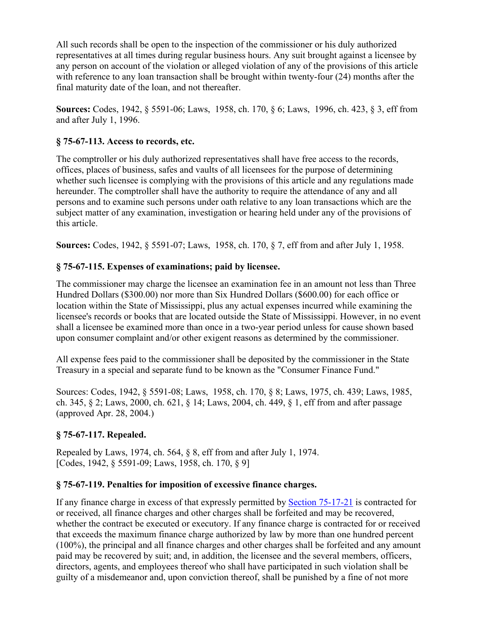All such records shall be open to the inspection of the commissioner or his duly authorized representatives at all times during regular business hours. Any suit brought against a licensee by any person on account of the violation or alleged violation of any of the provisions of this article with reference to any loan transaction shall be brought within twenty-four (24) months after the final maturity date of the loan, and not thereafter.

**Sources:** Codes, 1942, § 5591-06; Laws, 1958, ch. 170, § 6; Laws, 1996, ch. 423, § 3, eff from and after July 1, 1996.

### **§ 75-67-113. Access to records, etc.**

The comptroller or his duly authorized representatives shall have free access to the records, offices, places of business, safes and vaults of all licensees for the purpose of determining whether such licensee is complying with the provisions of this article and any regulations made hereunder. The comptroller shall have the authority to require the attendance of any and all persons and to examine such persons under oath relative to any loan transactions which are the subject matter of any examination, investigation or hearing held under any of the provisions of this article.

**Sources:** Codes, 1942, § 5591-07; Laws, 1958, ch. 170, § 7, eff from and after July 1, 1958.

# **§ 75-67-115. Expenses of examinations; paid by licensee.**

The commissioner may charge the licensee an examination fee in an amount not less than Three Hundred Dollars (\$300.00) nor more than Six Hundred Dollars (\$600.00) for each office or location within the State of Mississippi, plus any actual expenses incurred while examining the licensee's records or books that are located outside the State of Mississippi. However, in no event shall a licensee be examined more than once in a two-year period unless for cause shown based upon consumer complaint and/or other exigent reasons as determined by the commissioner.

All expense fees paid to the commissioner shall be deposited by the commissioner in the State Treasury in a special and separate fund to be known as the "Consumer Finance Fund."

Sources: Codes, 1942, § 5591-08; Laws, 1958, ch. 170, § 8; Laws, 1975, ch. 439; Laws, 1985, ch. 345, § 2; Laws, 2000, ch. 621, § 14; Laws, 2004, ch. 449, § 1, eff from and after passage (approved Apr. 28, 2004.)

# **§ 75-67-117. Repealed.**

Repealed by Laws, 1974, ch. 564, § 8, eff from and after July 1, 1974. [Codes, 1942, § 5591-09; Laws, 1958, ch. 170, § 9]

# **§ 75-67-119. Penalties for imposition of excessive finance charges.**

If any finance charge in excess of that expressly permitted by Section 75-17-21 is contracted for or received, all finance charges and other charges shall be forfeited and may be recovered, whether the contract be executed or executory. If any finance charge is contracted for or received that exceeds the maximum finance charge authorized by law by more than one hundred percent (100%), the principal and all finance charges and other charges shall be forfeited and any amount paid may be recovered by suit; and, in addition, the licensee and the several members, officers, directors, agents, and employees thereof who shall have participated in such violation shall be guilty of a misdemeanor and, upon conviction thereof, shall be punished by a fine of not more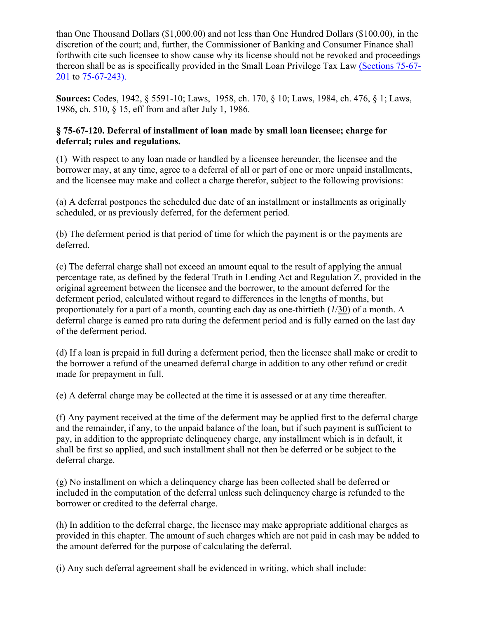than One Thousand Dollars (\$1,000.00) and not less than One Hundred Dollars (\$100.00), in the discretion of the court; and, further, the Commissioner of Banking and Consumer Finance shall forthwith cite such licensee to show cause why its license should not be revoked and proceedings thereon shall be as is specifically provided in the Small Loan Privilege Tax Law (Sections 75-67- 201 to 75-67-243).

**Sources:** Codes, 1942, § 5591-10; Laws, 1958, ch. 170, § 10; Laws, 1984, ch. 476, § 1; Laws, 1986, ch. 510, § 15, eff from and after July 1, 1986.

### **§ 75-67-120. Deferral of installment of loan made by small loan licensee; charge for deferral; rules and regulations.**

(1) With respect to any loan made or handled by a licensee hereunder, the licensee and the borrower may, at any time, agree to a deferral of all or part of one or more unpaid installments, and the licensee may make and collect a charge therefor, subject to the following provisions:

(a) A deferral postpones the scheduled due date of an installment or installments as originally scheduled, or as previously deferred, for the deferment period.

(b) The deferment period is that period of time for which the payment is or the payments are deferred.

(c) The deferral charge shall not exceed an amount equal to the result of applying the annual percentage rate, as defined by the federal Truth in Lending Act and Regulation Z, provided in the original agreement between the licensee and the borrower, to the amount deferred for the deferment period, calculated without regard to differences in the lengths of months, but proportionately for a part of a month, counting each day as one-thirtieth (*1*/30) of a month. A deferral charge is earned pro rata during the deferment period and is fully earned on the last day of the deferment period.

(d) If a loan is prepaid in full during a deferment period, then the licensee shall make or credit to the borrower a refund of the unearned deferral charge in addition to any other refund or credit made for prepayment in full.

(e) A deferral charge may be collected at the time it is assessed or at any time thereafter.

(f) Any payment received at the time of the deferment may be applied first to the deferral charge and the remainder, if any, to the unpaid balance of the loan, but if such payment is sufficient to pay, in addition to the appropriate delinquency charge, any installment which is in default, it shall be first so applied, and such installment shall not then be deferred or be subject to the deferral charge.

(g) No installment on which a delinquency charge has been collected shall be deferred or included in the computation of the deferral unless such delinquency charge is refunded to the borrower or credited to the deferral charge.

(h) In addition to the deferral charge, the licensee may make appropriate additional charges as provided in this chapter. The amount of such charges which are not paid in cash may be added to the amount deferred for the purpose of calculating the deferral.

(i) Any such deferral agreement shall be evidenced in writing, which shall include: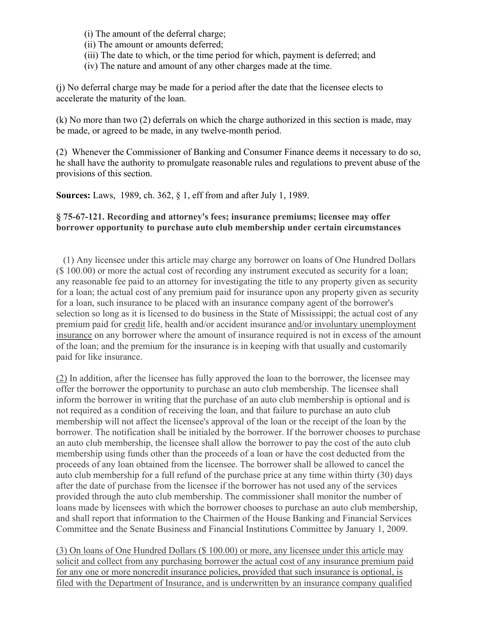- (i) The amount of the deferral charge;
- (ii) The amount or amounts deferred;
- (iii) The date to which, or the time period for which, payment is deferred; and
- (iv) The nature and amount of any other charges made at the time.

(j) No deferral charge may be made for a period after the date that the licensee elects to accelerate the maturity of the loan.

(k) No more than two (2) deferrals on which the charge authorized in this section is made, may be made, or agreed to be made, in any twelve-month period.

(2) Whenever the Commissioner of Banking and Consumer Finance deems it necessary to do so, he shall have the authority to promulgate reasonable rules and regulations to prevent abuse of the provisions of this section.

**Sources:** Laws, 1989, ch. 362, § 1, eff from and after July 1, 1989.

### **§ 75-67-121. Recording and attorney's fees; insurance premiums; licensee may offer borrower opportunity to purchase auto club membership under certain circumstances**

 (1) Any licensee under this article may charge any borrower on loans of One Hundred Dollars (\$ 100.00) or more the actual cost of recording any instrument executed as security for a loan; any reasonable fee paid to an attorney for investigating the title to any property given as security for a loan; the actual cost of any premium paid for insurance upon any property given as security for a loan, such insurance to be placed with an insurance company agent of the borrower's selection so long as it is licensed to do business in the State of Mississippi; the actual cost of any premium paid for credit life, health and/or accident insurance and/or involuntary unemployment insurance on any borrower where the amount of insurance required is not in excess of the amount of the loan; and the premium for the insurance is in keeping with that usually and customarily paid for like insurance.

(2) In addition, after the licensee has fully approved the loan to the borrower, the licensee may offer the borrower the opportunity to purchase an auto club membership. The licensee shall inform the borrower in writing that the purchase of an auto club membership is optional and is not required as a condition of receiving the loan, and that failure to purchase an auto club membership will not affect the licensee's approval of the loan or the receipt of the loan by the borrower. The notification shall be initialed by the borrower. If the borrower chooses to purchase an auto club membership, the licensee shall allow the borrower to pay the cost of the auto club membership using funds other than the proceeds of a loan or have the cost deducted from the proceeds of any loan obtained from the licensee. The borrower shall be allowed to cancel the auto club membership for a full refund of the purchase price at any time within thirty (30) days after the date of purchase from the licensee if the borrower has not used any of the services provided through the auto club membership. The commissioner shall monitor the number of loans made by licensees with which the borrower chooses to purchase an auto club membership, and shall report that information to the Chairmen of the House Banking and Financial Services Committee and the Senate Business and Financial Institutions Committee by January 1, 2009.

(3) On loans of One Hundred Dollars (\$ 100.00) or more, any licensee under this article may solicit and collect from any purchasing borrower the actual cost of any insurance premium paid for any one or more noncredit insurance policies, provided that such insurance is optional, is filed with the Department of Insurance, and is underwritten by an insurance company qualified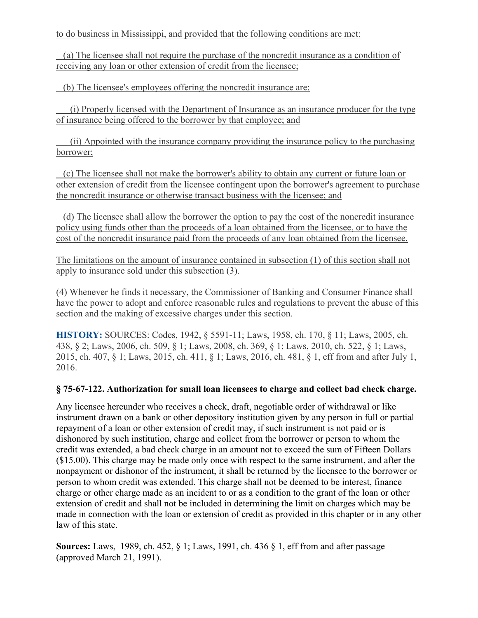to do business in Mississippi, and provided that the following conditions are met:

 (a) The licensee shall not require the purchase of the noncredit insurance as a condition of receiving any loan or other extension of credit from the licensee;

(b) The licensee's employees offering the noncredit insurance are:

 (i) Properly licensed with the Department of Insurance as an insurance producer for the type of insurance being offered to the borrower by that employee; and

 (ii) Appointed with the insurance company providing the insurance policy to the purchasing borrower;

 (c) The licensee shall not make the borrower's ability to obtain any current or future loan or other extension of credit from the licensee contingent upon the borrower's agreement to purchase the noncredit insurance or otherwise transact business with the licensee; and

 (d) The licensee shall allow the borrower the option to pay the cost of the noncredit insurance policy using funds other than the proceeds of a loan obtained from the licensee, or to have the cost of the noncredit insurance paid from the proceeds of any loan obtained from the licensee.

The limitations on the amount of insurance contained in subsection (1) of this section shall not apply to insurance sold under this subsection (3).

(4) Whenever he finds it necessary, the Commissioner of Banking and Consumer Finance shall have the power to adopt and enforce reasonable rules and regulations to prevent the abuse of this section and the making of excessive charges under this section.

**HISTORY:** SOURCES: Codes, 1942, § 5591-11; Laws, 1958, ch. 170, § 11; Laws, 2005, ch. 438, § 2; Laws, 2006, ch. 509, § 1; Laws, 2008, ch. 369, § 1; Laws, 2010, ch. 522, § 1; Laws, 2015, ch. 407, § 1; Laws, 2015, ch. 411, § 1; Laws, 2016, ch. 481, § 1, eff from and after July 1, 2016.

### **§ 75-67-122. Authorization for small loan licensees to charge and collect bad check charge.**

Any licensee hereunder who receives a check, draft, negotiable order of withdrawal or like instrument drawn on a bank or other depository institution given by any person in full or partial repayment of a loan or other extension of credit may, if such instrument is not paid or is dishonored by such institution, charge and collect from the borrower or person to whom the credit was extended, a bad check charge in an amount not to exceed the sum of Fifteen Dollars (\$15.00). This charge may be made only once with respect to the same instrument, and after the nonpayment or dishonor of the instrument, it shall be returned by the licensee to the borrower or person to whom credit was extended. This charge shall not be deemed to be interest, finance charge or other charge made as an incident to or as a condition to the grant of the loan or other extension of credit and shall not be included in determining the limit on charges which may be made in connection with the loan or extension of credit as provided in this chapter or in any other law of this state.

**Sources:** Laws, 1989, ch. 452, § 1; Laws, 1991, ch. 436 § 1, eff from and after passage (approved March 21, 1991).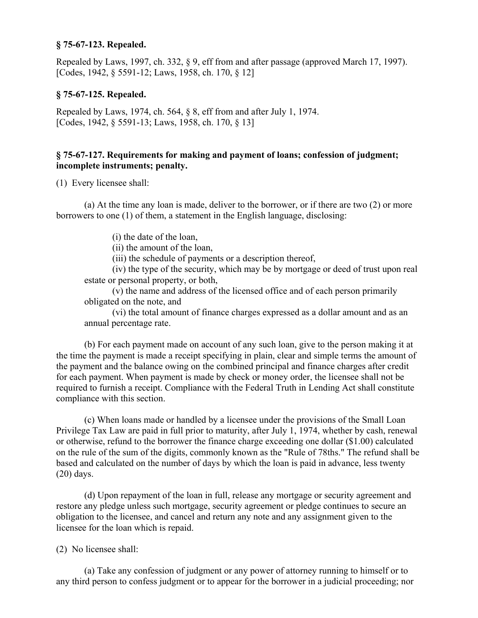#### **§ 75-67-123. Repealed.**

Repealed by Laws, 1997, ch. 332, § 9, eff from and after passage (approved March 17, 1997). [Codes, 1942, § 5591-12; Laws, 1958, ch. 170, § 12]

#### **§ 75-67-125. Repealed.**

Repealed by Laws, 1974, ch. 564, § 8, eff from and after July 1, 1974. [Codes, 1942, § 5591-13; Laws, 1958, ch. 170, § 13]

#### **§ 75-67-127. Requirements for making and payment of loans; confession of judgment; incomplete instruments; penalty.**

(1) Every licensee shall:

(a) At the time any loan is made, deliver to the borrower, or if there are two (2) or more borrowers to one (1) of them, a statement in the English language, disclosing:

(i) the date of the loan,

(ii) the amount of the loan,

(iii) the schedule of payments or a description thereof,

(iv) the type of the security, which may be by mortgage or deed of trust upon real estate or personal property, or both,

(v) the name and address of the licensed office and of each person primarily obligated on the note, and

(vi) the total amount of finance charges expressed as a dollar amount and as an annual percentage rate.

(b) For each payment made on account of any such loan, give to the person making it at the time the payment is made a receipt specifying in plain, clear and simple terms the amount of the payment and the balance owing on the combined principal and finance charges after credit for each payment. When payment is made by check or money order, the licensee shall not be required to furnish a receipt. Compliance with the Federal Truth in Lending Act shall constitute compliance with this section.

(c) When loans made or handled by a licensee under the provisions of the Small Loan Privilege Tax Law are paid in full prior to maturity, after July 1, 1974, whether by cash, renewal or otherwise, refund to the borrower the finance charge exceeding one dollar (\$1.00) calculated on the rule of the sum of the digits, commonly known as the "Rule of 78ths." The refund shall be based and calculated on the number of days by which the loan is paid in advance, less twenty (20) days.

(d) Upon repayment of the loan in full, release any mortgage or security agreement and restore any pledge unless such mortgage, security agreement or pledge continues to secure an obligation to the licensee, and cancel and return any note and any assignment given to the licensee for the loan which is repaid.

(2) No licensee shall:

(a) Take any confession of judgment or any power of attorney running to himself or to any third person to confess judgment or to appear for the borrower in a judicial proceeding; nor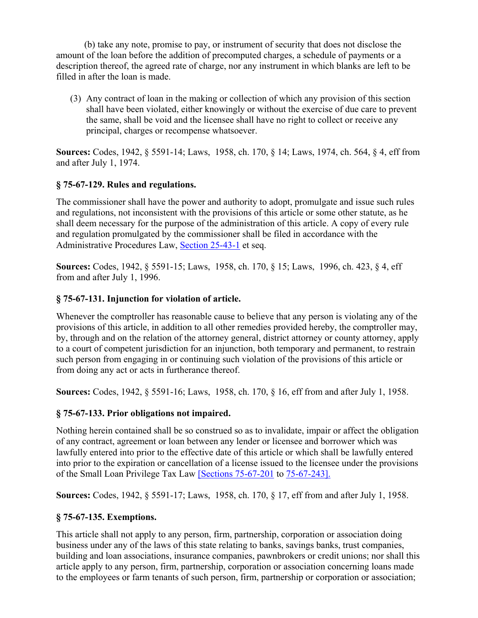(b) take any note, promise to pay, or instrument of security that does not disclose the amount of the loan before the addition of precomputed charges, a schedule of payments or a description thereof, the agreed rate of charge, nor any instrument in which blanks are left to be filled in after the loan is made.

(3) Any contract of loan in the making or collection of which any provision of this section shall have been violated, either knowingly or without the exercise of due care to prevent the same, shall be void and the licensee shall have no right to collect or receive any principal, charges or recompense whatsoever.

**Sources:** Codes, 1942, § 5591-14; Laws, 1958, ch. 170, § 14; Laws, 1974, ch. 564, § 4, eff from and after July 1, 1974.

# **§ 75-67-129. Rules and regulations.**

The commissioner shall have the power and authority to adopt, promulgate and issue such rules and regulations, not inconsistent with the provisions of this article or some other statute, as he shall deem necessary for the purpose of the administration of this article. A copy of every rule and regulation promulgated by the commissioner shall be filed in accordance with the Administrative Procedures Law, Section 25-43-1 et seq.

**Sources:** Codes, 1942, § 5591-15; Laws, 1958, ch. 170, § 15; Laws, 1996, ch. 423, § 4, eff from and after July 1, 1996.

### **§ 75-67-131. Injunction for violation of article.**

Whenever the comptroller has reasonable cause to believe that any person is violating any of the provisions of this article, in addition to all other remedies provided hereby, the comptroller may, by, through and on the relation of the attorney general, district attorney or county attorney, apply to a court of competent jurisdiction for an injunction, both temporary and permanent, to restrain such person from engaging in or continuing such violation of the provisions of this article or from doing any act or acts in furtherance thereof.

**Sources:** Codes, 1942, § 5591-16; Laws, 1958, ch. 170, § 16, eff from and after July 1, 1958.

### **§ 75-67-133. Prior obligations not impaired.**

Nothing herein contained shall be so construed so as to invalidate, impair or affect the obligation of any contract, agreement or loan between any lender or licensee and borrower which was lawfully entered into prior to the effective date of this article or which shall be lawfully entered into prior to the expiration or cancellation of a license issued to the licensee under the provisions of the Small Loan Privilege Tax Law [Sections 75-67-201 to 75-67-243].

**Sources:** Codes, 1942, § 5591-17; Laws, 1958, ch. 170, § 17, eff from and after July 1, 1958.

### **§ 75-67-135. Exemptions.**

This article shall not apply to any person, firm, partnership, corporation or association doing business under any of the laws of this state relating to banks, savings banks, trust companies, building and loan associations, insurance companies, pawnbrokers or credit unions; nor shall this article apply to any person, firm, partnership, corporation or association concerning loans made to the employees or farm tenants of such person, firm, partnership or corporation or association;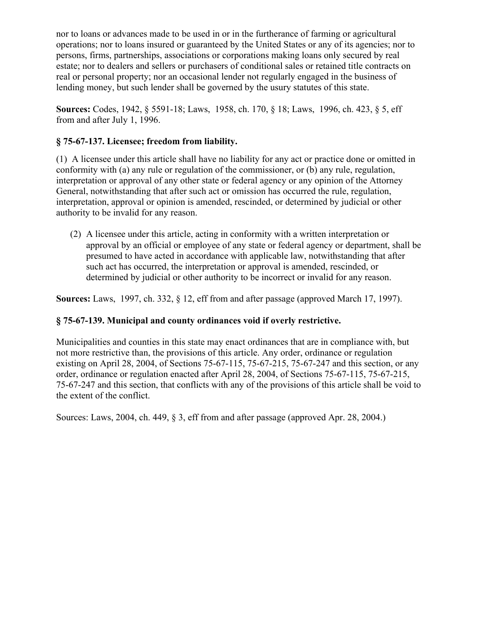nor to loans or advances made to be used in or in the furtherance of farming or agricultural operations; nor to loans insured or guaranteed by the United States or any of its agencies; nor to persons, firms, partnerships, associations or corporations making loans only secured by real estate; nor to dealers and sellers or purchasers of conditional sales or retained title contracts on real or personal property; nor an occasional lender not regularly engaged in the business of lending money, but such lender shall be governed by the usury statutes of this state.

**Sources:** Codes, 1942, § 5591-18; Laws, 1958, ch. 170, § 18; Laws, 1996, ch. 423, § 5, eff from and after July 1, 1996.

## **§ 75-67-137. Licensee; freedom from liability.**

(1) A licensee under this article shall have no liability for any act or practice done or omitted in conformity with (a) any rule or regulation of the commissioner, or (b) any rule, regulation, interpretation or approval of any other state or federal agency or any opinion of the Attorney General, notwithstanding that after such act or omission has occurred the rule, regulation, interpretation, approval or opinion is amended, rescinded, or determined by judicial or other authority to be invalid for any reason.

(2) A licensee under this article, acting in conformity with a written interpretation or approval by an official or employee of any state or federal agency or department, shall be presumed to have acted in accordance with applicable law, notwithstanding that after such act has occurred, the interpretation or approval is amended, rescinded, or determined by judicial or other authority to be incorrect or invalid for any reason.

**Sources:** Laws, 1997, ch. 332, § 12, eff from and after passage (approved March 17, 1997).

# **§ 75-67-139. Municipal and county ordinances void if overly restrictive.**

Municipalities and counties in this state may enact ordinances that are in compliance with, but not more restrictive than, the provisions of this article. Any order, ordinance or regulation existing on April 28, 2004, of Sections  $75-67-115$ ,  $75-67-215$ ,  $75-67-247$  and this section, or any order, ordinance or regulation enacted after April 28, 2004, of Sections 75-67-115, 75-67-215, 75-67-247 and this section, that conflicts with any of the provisions of this article shall be void to the extent of the conflict.

Sources: Laws, 2004, ch. 449, § 3, eff from and after passage (approved Apr. 28, 2004.)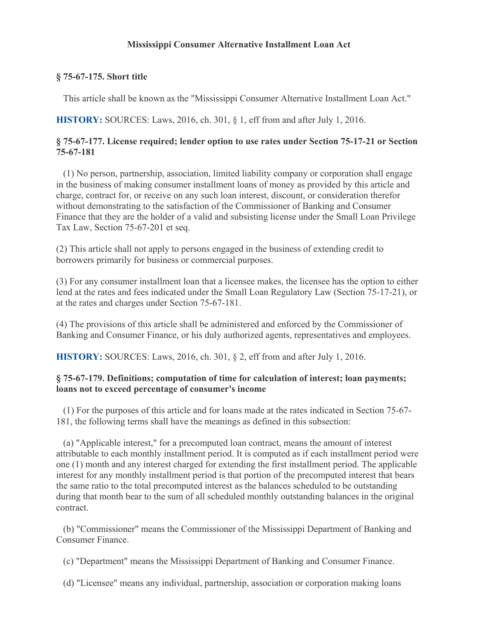### **Mississippi Consumer Alternative Installment Loan Act**

### **§ 75-67-175. Short title**

This article shall be known as the "Mississippi Consumer Alternative Installment Loan Act."

**HISTORY:** SOURCES: Laws, 2016, ch. 301, § 1, eff from and after July 1, 2016.

### **§ 75-67-177. License required; lender option to use rates under Section 75-17-21 or Section 75-67-181**

 (1) No person, partnership, association, limited liability company or corporation shall engage in the business of making consumer installment loans of money as provided by this article and charge, contract for, or receive on any such loan interest, discount, or consideration therefor without demonstrating to the satisfaction of the Commissioner of Banking and Consumer Finance that they are the holder of a valid and subsisting license under the Small Loan Privilege Tax Law, Section 75-67-201 et seq.

(2) This article shall not apply to persons engaged in the business of extending credit to borrowers primarily for business or commercial purposes.

(3) For any consumer installment loan that a licensee makes, the licensee has the option to either lend at the rates and fees indicated under the Small Loan Regulatory Law (Section 75-17-21), or at the rates and charges under Section 75-67-181.

(4) The provisions of this article shall be administered and enforced by the Commissioner of Banking and Consumer Finance, or his duly authorized agents, representatives and employees.

**HISTORY:** SOURCES: Laws, 2016, ch. 301, § 2, eff from and after July 1, 2016.

### **§ 75-67-179. Definitions; computation of time for calculation of interest; loan payments; loans not to exceed percentage of consumer's income**

 (1) For the purposes of this article and for loans made at the rates indicated in Section 75-67- 181, the following terms shall have the meanings as defined in this subsection:

 (a) "Applicable interest," for a precomputed loan contract, means the amount of interest attributable to each monthly installment period. It is computed as if each installment period were one (1) month and any interest charged for extending the first installment period. The applicable interest for any monthly installment period is that portion of the precomputed interest that bears the same ratio to the total precomputed interest as the balances scheduled to be outstanding during that month bear to the sum of all scheduled monthly outstanding balances in the original contract.

 (b) "Commissioner" means the Commissioner of the Mississippi Department of Banking and Consumer Finance.

(c) "Department" means the Mississippi Department of Banking and Consumer Finance.

(d) "Licensee" means any individual, partnership, association or corporation making loans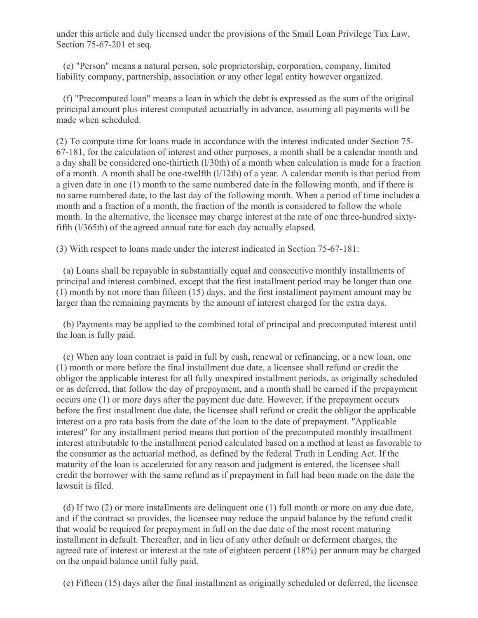under this article and duly licensed under the provisions of the Small Loan Privilege Tax Law, Section 75-67-201 et seq.

 (e) "Person" means a natural person, sole proprietorship, corporation, company, limited liability company, partnership, association or any other legal entity however organized.

 (f) "Precomputed loan" means a loan in which the debt is expressed as the sum of the original principal amount plus interest computed actuarially in advance, assuming all payments will be made when scheduled.

(2) To compute time for loans made in accordance with the interest indicated under Section 75- 67-181, for the calculation of interest and other purposes, a month shall be a calendar month and a day shall be considered one-thirtieth (l/30th) of a month when calculation is made for a fraction of a month. A month shall be one-twelfth (l/12th) of a year. A calendar month is that period from a given date in one (1) month to the same numbered date in the following month, and if there is no same numbered date, to the last day of the following month. When a period of time includes a month and a fraction of a month, the fraction of the month is considered to follow the whole month. In the alternative, the licensee may charge interest at the rate of one three-hundred sixtyfifth (l/365th) of the agreed annual rate for each day actually elapsed.

(3) With respect to loans made under the interest indicated in Section 75-67-181:

 (a) Loans shall be repayable in substantially equal and consecutive monthly installments of principal and interest combined, except that the first installment period may be longer than one (1) month by not more than fifteen (15) days, and the first installment payment amount may be larger than the remaining payments by the amount of interest charged for the extra days.

 (b) Payments may be applied to the combined total of principal and precomputed interest until the loan is fully paid.

 (c) When any loan contract is paid in full by cash, renewal or refinancing, or a new loan, one (1) month or more before the final installment due date, a licensee shall refund or credit the obligor the applicable interest for all fully unexpired installment periods, as originally scheduled or as deferred, that follow the day of prepayment, and a month shall be earned if the prepayment occurs one (1) or more days after the payment due date. However, if the prepayment occurs before the first installment due date, the licensee shall refund or credit the obligor the applicable interest on a pro rata basis from the date of the loan to the date of prepayment. "Applicable interest" for any installment period means that portion of the precomputed monthly installment interest attributable to the installment period calculated based on a method at least as favorable to the consumer as the actuarial method, as defined by the federal Truth in Lending Act. If the maturity of the loan is accelerated for any reason and judgment is entered, the licensee shall credit the borrower with the same refund as if prepayment in full had been made on the date the lawsuit is filed.

 (d) If two (2) or more installments are delinquent one (1) full month or more on any due date, and if the contract so provides, the licensee may reduce the unpaid balance by the refund credit that would be required for prepayment in full on the due date of the most recent maturing installment in default. Thereafter, and in lieu of any other default or deferment charges, the agreed rate of interest or interest at the rate of eighteen percent (18%) per annum may be charged on the unpaid balance until fully paid.

(e) Fifteen (15) days after the final installment as originally scheduled or deferred, the licensee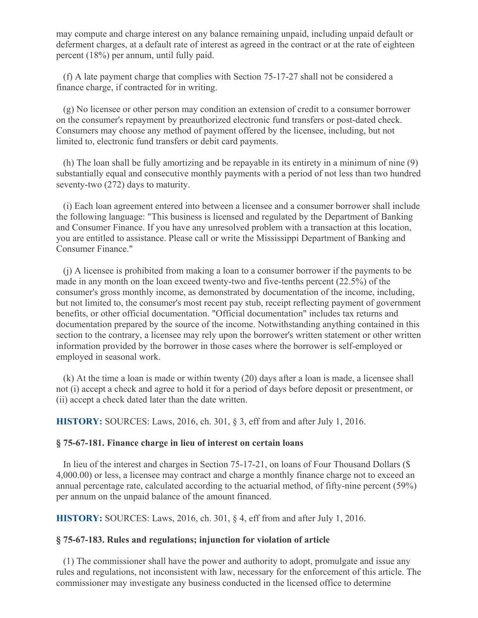may compute and charge interest on any balance remaining unpaid, including unpaid default or deferment charges, at a default rate of interest as agreed in the contract or at the rate of eighteen percent (18%) per annum, until fully paid.

 (f) A late payment charge that complies with Section 75-17-27 shall not be considered a finance charge, if contracted for in writing.

 (g) No licensee or other person may condition an extension of credit to a consumer borrower on the consumer's repayment by preauthorized electronic fund transfers or post-dated check. Consumers may choose any method of payment offered by the licensee, including, but not limited to, electronic fund transfers or debit card payments.

 (h) The loan shall be fully amortizing and be repayable in its entirety in a minimum of nine (9) substantially equal and consecutive monthly payments with a period of not less than two hundred seventy-two (272) days to maturity.

 (i) Each loan agreement entered into between a licensee and a consumer borrower shall include the following language: "This business is licensed and regulated by the Department of Banking and Consumer Finance. If you have any unresolved problem with a transaction at this location, you are entitled to assistance. Please call or write the Mississippi Department of Banking and Consumer Finance."

 (j) A licensee is prohibited from making a loan to a consumer borrower if the payments to be made in any month on the loan exceed twenty-two and five-tenths percent (22.5%) of the consumer's gross monthly income, as demonstrated by documentation of the income, including, but not limited to, the consumer's most recent pay stub, receipt reflecting payment of government benefits, or other official documentation. "Official documentation" includes tax returns and documentation prepared by the source of the income. Notwithstanding anything contained in this section to the contrary, a licensee may rely upon the borrower's written statement or other written information provided by the borrower in those cases where the borrower is self-employed or employed in seasonal work.

 (k) At the time a loan is made or within twenty (20) days after a loan is made, a licensee shall not (i) accept a check and agree to hold it for a period of days before deposit or presentment, or (ii) accept a check dated later than the date written.

**HISTORY:** SOURCES: Laws, 2016, ch. 301, § 3, eff from and after July 1, 2016.

#### **§ 75-67-181. Finance charge in lieu of interest on certain loans**

 In lieu of the interest and charges in Section 75-17-21, on loans of Four Thousand Dollars (\$ 4,000.00) or less, a licensee may contract and charge a monthly finance charge not to exceed an annual percentage rate, calculated according to the actuarial method, of fifty-nine percent (59%) per annum on the unpaid balance of the amount financed.

**HISTORY:** SOURCES: Laws, 2016, ch. 301, § 4, eff from and after July 1, 2016.

#### **§ 75-67-183. Rules and regulations; injunction for violation of article**

 (1) The commissioner shall have the power and authority to adopt, promulgate and issue any rules and regulations, not inconsistent with law, necessary for the enforcement of this article. The commissioner may investigate any business conducted in the licensed office to determine